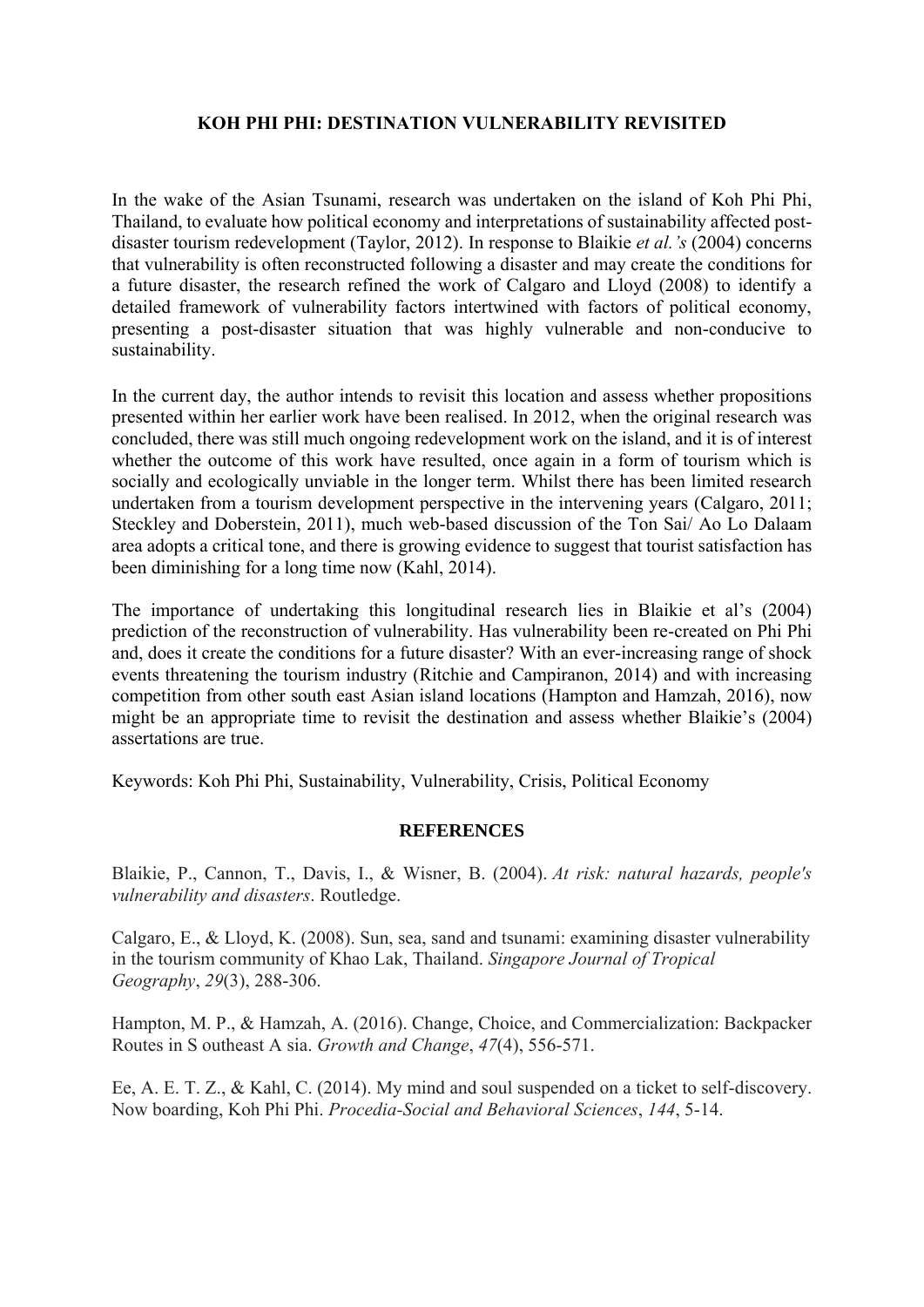## **KOH PHI PHI: DESTINATION VULNERABILITY REVISITED**

In the wake of the Asian Tsunami, research was undertaken on the island of Koh Phi Phi, Thailand, to evaluate how political economy and interpretations of sustainability affected postdisaster tourism redevelopment (Taylor, 2012). In response to Blaikie *et al.'s* (2004) concerns that vulnerability is often reconstructed following a disaster and may create the conditions for a future disaster, the research refined the work of Calgaro and Lloyd (2008) to identify a detailed framework of vulnerability factors intertwined with factors of political economy, presenting a post-disaster situation that was highly vulnerable and non-conducive to sustainability.

In the current day, the author intends to revisit this location and assess whether propositions presented within her earlier work have been realised. In 2012, when the original research was concluded, there was still much ongoing redevelopment work on the island, and it is of interest whether the outcome of this work have resulted, once again in a form of tourism which is socially and ecologically unviable in the longer term. Whilst there has been limited research undertaken from a tourism development perspective in the intervening years (Calgaro, 2011; Steckley and Doberstein, 2011), much web-based discussion of the Ton Sai/ Ao Lo Dalaam area adopts a critical tone, and there is growing evidence to suggest that tourist satisfaction has been diminishing for a long time now (Kahl, 2014).

The importance of undertaking this longitudinal research lies in Blaikie et al's (2004) prediction of the reconstruction of vulnerability. Has vulnerability been re-created on Phi Phi and, does it create the conditions for a future disaster? With an ever-increasing range of shock events threatening the tourism industry (Ritchie and Campiranon, 2014) and with increasing competition from other south east Asian island locations (Hampton and Hamzah, 2016), now might be an appropriate time to revisit the destination and assess whether Blaikie's (2004) assertations are true.

Keywords: Koh Phi Phi, Sustainability, Vulnerability, Crisis, Political Economy

## **REFERENCES**

Blaikie, P., Cannon, T., Davis, I., & Wisner, B. (2004). *At risk: natural hazards, people's vulnerability and disasters*. Routledge.

Calgaro, E., & Lloyd, K. (2008). Sun, sea, sand and tsunami: examining disaster vulnerability in the tourism community of Khao Lak, Thailand. *Singapore Journal of Tropical Geography*, *29*(3), 288-306.

Hampton, M. P., & Hamzah, A. (2016). Change, Choice, and Commercialization: Backpacker Routes in S outheast A sia. *Growth and Change*, *47*(4), 556-571.

Ee, A. E. T. Z., & Kahl, C. (2014). My mind and soul suspended on a ticket to self-discovery. Now boarding, Koh Phi Phi. *Procedia-Social and Behavioral Sciences*, *144*, 5-14.